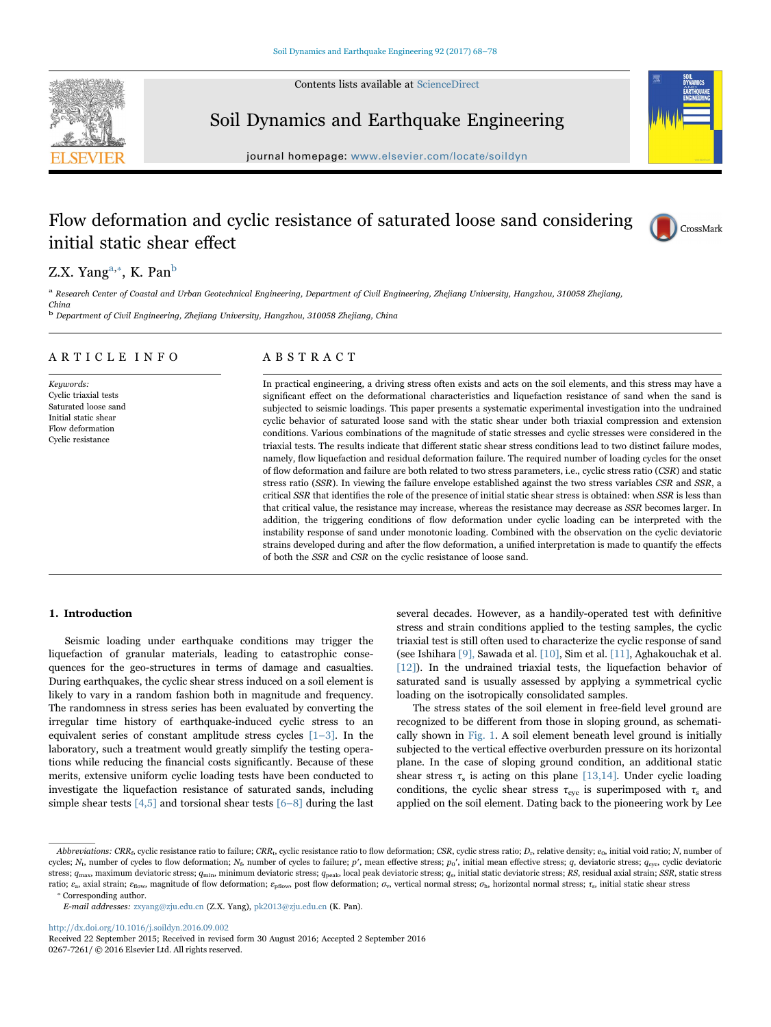Contents lists available at [ScienceDirect](http://www.sciencedirect.com/science/journal/02677261)





Soil Dynamics and Earthquake Engineering

journal homepage: [www.elsevier.com/locate/soildyn](http://www.elsevier.com/locate/soildyn)

## Flow deformation and cyclic resistance of saturated loose sand considering initial static shear effect



### Z.X. Y[a](#page-0-0)ng<sup>a,</sup>\*, K. Pan<sup>b</sup>

<span id="page-0-0"></span>a Research Center of Coastal and Urban Geotechnical Engineering, Department of Civil Engineering, Zhejiang University, Hangzhou, 310058 Zhejiang, China

<span id="page-0-2"></span><sup>b</sup> Department of Civil Engineering, Zhejiang University, Hangzhou, 310058 Zhejiang, China

#### ARTICLE INFO

Keywords: Cyclic triaxial tests Saturated loose sand Initial static shear Flow deformation Cyclic resistance

#### ABSTRACT

In practical engineering, a driving stress often exists and acts on the soil elements, and this stress may have a significant effect on the deformational characteristics and liquefaction resistance of sand when the sand is subjected to seismic loadings. This paper presents a systematic experimental investigation into the undrained cyclic behavior of saturated loose sand with the static shear under both triaxial compression and extension conditions. Various combinations of the magnitude of static stresses and cyclic stresses were considered in the triaxial tests. The results indicate that different static shear stress conditions lead to two distinct failure modes, namely, flow liquefaction and residual deformation failure. The required number of loading cycles for the onset of flow deformation and failure are both related to two stress parameters, i.e., cyclic stress ratio (CSR) and static stress ratio (SSR). In viewing the failure envelope established against the two stress variables CSR and SSR, a critical SSR that identifies the role of the presence of initial static shear stress is obtained: when SSR is less than that critical value, the resistance may increase, whereas the resistance may decrease as SSR becomes larger. In addition, the triggering conditions of flow deformation under cyclic loading can be interpreted with the instability response of sand under monotonic loading. Combined with the observation on the cyclic deviatoric strains developed during and after the flow deformation, a unified interpretation is made to quantify the effects of both the SSR and CSR on the cyclic resistance of loose sand.

#### 1. Introduction

Seismic loading under earthquake conditions may trigger the liquefaction of granular materials, leading to catastrophic consequences for the geo-structures in terms of damage and casualties. During earthquakes, the cyclic shear stress induced on a soil element is likely to vary in a random fashion both in magnitude and frequency. The randomness in stress series has been evaluated by converting the irregular time history of earthquake-induced cyclic stress to an equivalent series of constant amplitude stress cycles [1–[3\].](#page--1-0) In the laboratory, such a treatment would greatly simplify the testing operations while reducing the financial costs significantly. Because of these merits, extensive uniform cyclic loading tests have been conducted to investigate the liquefaction resistance of saturated sands, including simple shear tests  $[4,5]$  and torsional shear tests  $[6-8]$  $[6-8]$  during the last

several decades. However, as a handily-operated test with definitive stress and strain conditions applied to the testing samples, the cyclic triaxial test is still often used to characterize the cyclic response of sand (see Ishihara [\[9\],](#page--1-3) Sawada et al. [\[10\]](#page--1-4), Sim et al. [\[11\]](#page--1-5), Aghakouchak et al. [\[12\]\)](#page--1-6). In the undrained triaxial tests, the liquefaction behavior of saturated sand is usually assessed by applying a symmetrical cyclic loading on the isotropically consolidated samples.

The stress states of the soil element in free-field level ground are recognized to be different from those in sloping ground, as schematically shown in [Fig. 1.](#page-1-0) A soil element beneath level ground is initially subjected to the vertical effective overburden pressure on its horizontal plane. In the case of sloping ground condition, an additional static shear stress  $\tau_s$  is acting on this plane [\[13,14\]](#page--1-7). Under cyclic loading conditions, the cyclic shear stress  $\tau_{\rm cyc}$  is superimposed with  $\tau_{\rm s}$  and applied on the soil element. Dating back to the pioneering work by Lee

E-mail addresses: zxyang@zju.edu.cn (Z.X. Yang), pk2013@zju.edu.cn (K. Pan).

<http://dx.doi.org/10.1016/j.soildyn.2016.09.002>

Received 22 September 2015; Received in revised form 30 August 2016; Accepted 2 September 2016 0267-7261/ © 2016 Elsevier Ltd. All rights reserved.

<sup>⁎</sup> Corresponding author. Abbreviations: CRR<sub>f</sub>, cyclic resistance ratio to failure; CRR<sub>t</sub>, cyclic resistance ratio to flow deformation; CSR, cyclic stress ratio; D<sub>r</sub>, relative density;  $e_0$ , initial void ratio; N, number of cycles;  $N_t$ , number of cycles to flow deformation;  $N_t$ , number of cycles to failure; p', mean effective stress;  $p_0'$ , initial mean effective stress;  $q$ , deviatoric stress;  $q_{\text{cyc}}$ , cyclic deviatoric stress;  $q_{\text{max}}$ , maximum deviatoric stress;  $q_{\text{min}}$ , minimum deviatoric stress;  $q_{\text{peak}}$ , local peak deviatoric stress;  $q_s$ , initial static deviatoric stress; RS, residual axial strain; SSR, static stress ratio;  $\varepsilon_a$ , axial strain;  $\varepsilon_{\text{flow}}$ , magnitude of flow deformation;  $\varepsilon_{\text{pfow}}$ , post flow deformation;  $\sigma_v$ , vertical normal stress;  $\sigma_{\text{h}}$ , horizontal normal stress;  $\tau_s$ , initial static shear stress

<span id="page-0-1"></span>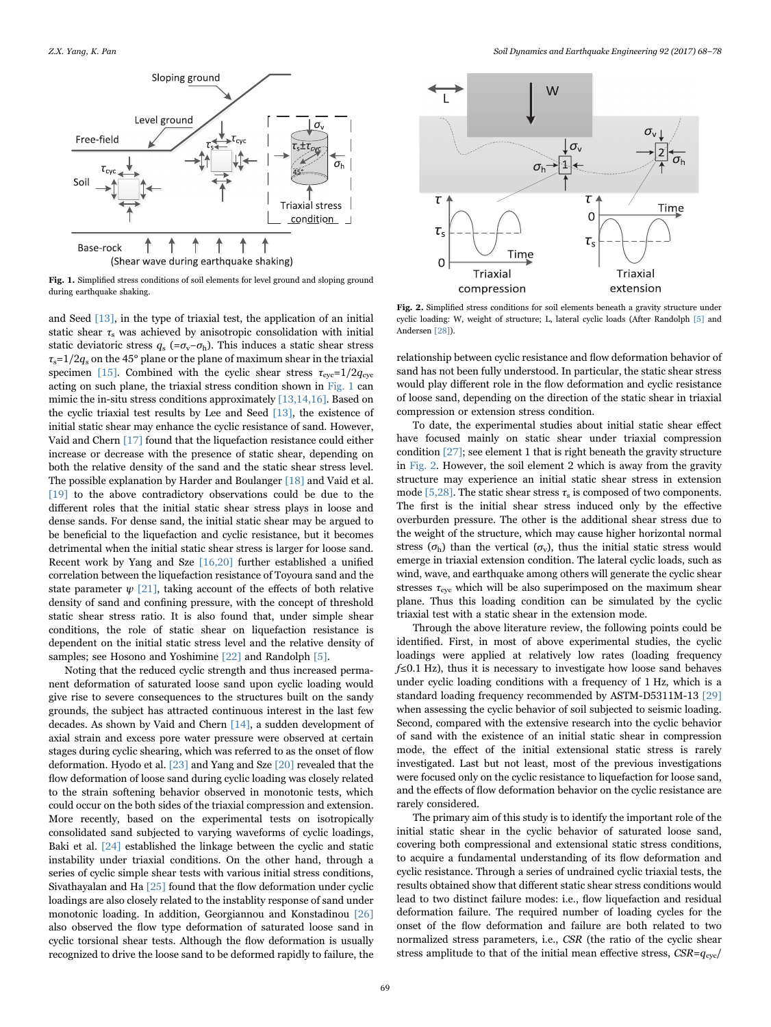<span id="page-1-0"></span>

Fig. 1. Simplified stress conditions of soil elements for level ground and sloping ground during earthquake shaking.

and Seed [\[13\]](#page--1-7), in the type of triaxial test, the application of an initial static shear  $\tau_s$  was achieved by anisotropic consolidation with initial static deviatoric stress  $q_s$  (= $\sigma_v$ − $\sigma_b$ ). This induces a static shear stress  $\tau_s = 1/2q_s$  on the 45° plane or the plane of maximum shear in the triaxial specimen [\[15\]](#page--1-8). Combined with the cyclic shear stress  $\tau_{\text{cyc}}=1/2q_{\text{cyc}}$ acting on such plane, the triaxial stress condition shown in [Fig. 1](#page-1-0) can mimic the in-situ stress conditions approximately [\[13,14,16\]](#page--1-7). Based on the cyclic triaxial test results by Lee and Seed [\[13\],](#page--1-7) the existence of initial static shear may enhance the cyclic resistance of sand. However, Vaid and Chern [\[17\]](#page--1-9) found that the liquefaction resistance could either increase or decrease with the presence of static shear, depending on both the relative density of the sand and the static shear stress level. The possible explanation by Harder and Boulanger [\[18\]](#page--1-10) and Vaid et al. [\[19\]](#page--1-11) to the above contradictory observations could be due to the different roles that the initial static shear stress plays in loose and dense sands. For dense sand, the initial static shear may be argued to be beneficial to the liquefaction and cyclic resistance, but it becomes detrimental when the initial static shear stress is larger for loose sand. Recent work by Yang and Sze [\[16,20\]](#page--1-12) further established a unified correlation between the liquefaction resistance of Toyoura sand and the state parameter  $\psi$  [\[21\]](#page--1-13), taking account of the effects of both relative density of sand and confining pressure, with the concept of threshold static shear stress ratio. It is also found that, under simple shear conditions, the role of static shear on liquefaction resistance is dependent on the initial static stress level and the relative density of samples; see Hosono and Yoshimine [\[22\]](#page--1-14) and Randolph [\[5\].](#page--1-15)

Noting that the reduced cyclic strength and thus increased permanent deformation of saturated loose sand upon cyclic loading would give rise to severe consequences to the structures built on the sandy grounds, the subject has attracted continuous interest in the last few decades. As shown by Vaid and Chern [\[14\]](#page--1-16), a sudden development of axial strain and excess pore water pressure were observed at certain stages during cyclic shearing, which was referred to as the onset of flow deformation. Hyodo et al. [\[23\]](#page--1-17) and Yang and Sze [\[20\]](#page--1-18) revealed that the flow deformation of loose sand during cyclic loading was closely related to the strain softening behavior observed in monotonic tests, which could occur on the both sides of the triaxial compression and extension. More recently, based on the experimental tests on isotropically consolidated sand subjected to varying waveforms of cyclic loadings, Baki et al. [\[24\]](#page--1-19) established the linkage between the cyclic and static instability under triaxial conditions. On the other hand, through a series of cyclic simple shear tests with various initial stress conditions, Sivathayalan and Ha [\[25\]](#page--1-20) found that the flow deformation under cyclic loadings are also closely related to the instablity response of sand under monotonic loading. In addition, Georgiannou and Konstadinou [\[26\]](#page--1-21) also observed the flow type deformation of saturated loose sand in cyclic torsional shear tests. Although the flow deformation is usually recognized to drive the loose sand to be deformed rapidly to failure, the

<span id="page-1-1"></span>

Fig. 2. Simplified stress conditions for soil elements beneath a gravity structure under cyclic loading: W, weight of structure; L, lateral cyclic loads (After Randolph [\[5\]](#page--1-15) and Andersen [\[28\]\)](#page--1-15).

relationship between cyclic resistance and flow deformation behavior of sand has not been fully understood. In particular, the static shear stress would play different role in the flow deformation and cyclic resistance of loose sand, depending on the direction of the static shear in triaxial compression or extension stress condition.

To date, the experimental studies about initial static shear effect have focused mainly on static shear under triaxial compression condition [\[27\]](#page--1-22); see element 1 that is right beneath the gravity structure in [Fig. 2](#page-1-1). However, the soil element 2 which is away from the gravity structure may experience an initial static shear stress in extension mode [\[5,28\]](#page--1-15). The static shear stress  $\tau_s$  is composed of two components. The first is the initial shear stress induced only by the effective overburden pressure. The other is the additional shear stress due to the weight of the structure, which may cause higher horizontal normal stress ( $\sigma_{h}$ ) than the vertical ( $\sigma_{v}$ ), thus the initial static stress would emerge in triaxial extension condition. The lateral cyclic loads, such as wind, wave, and earthquake among others will generate the cyclic shear stresses  $\tau_{\text{cyc}}$  which will be also superimposed on the maximum shear plane. Thus this loading condition can be simulated by the cyclic triaxial test with a static shear in the extension mode.

Through the above literature review, the following points could be identified. First, in most of above experimental studies, the cyclic loadings were applied at relatively low rates (loading frequency f≤0.1 Hz), thus it is necessary to investigate how loose sand behaves under cyclic loading conditions with a frequency of 1 Hz, which is a standard loading frequency recommended by ASTM-D5311M-13 [\[29\]](#page--1-23) when assessing the cyclic behavior of soil subjected to seismic loading. Second, compared with the extensive research into the cyclic behavior of sand with the existence of an initial static shear in compression mode, the effect of the initial extensional static stress is rarely investigated. Last but not least, most of the previous investigations were focused only on the cyclic resistance to liquefaction for loose sand, and the effects of flow deformation behavior on the cyclic resistance are rarely considered.

The primary aim of this study is to identify the important role of the initial static shear in the cyclic behavior of saturated loose sand, covering both compressional and extensional static stress conditions, to acquire a fundamental understanding of its flow deformation and cyclic resistance. Through a series of undrained cyclic triaxial tests, the results obtained show that different static shear stress conditions would lead to two distinct failure modes: i.e., flow liquefaction and residual deformation failure. The required number of loading cycles for the onset of the flow deformation and failure are both related to two normalized stress parameters, i.e., CSR (the ratio of the cyclic shear stress amplitude to that of the initial mean effective stress,  $CSR=q_{\text{cyc}}/$